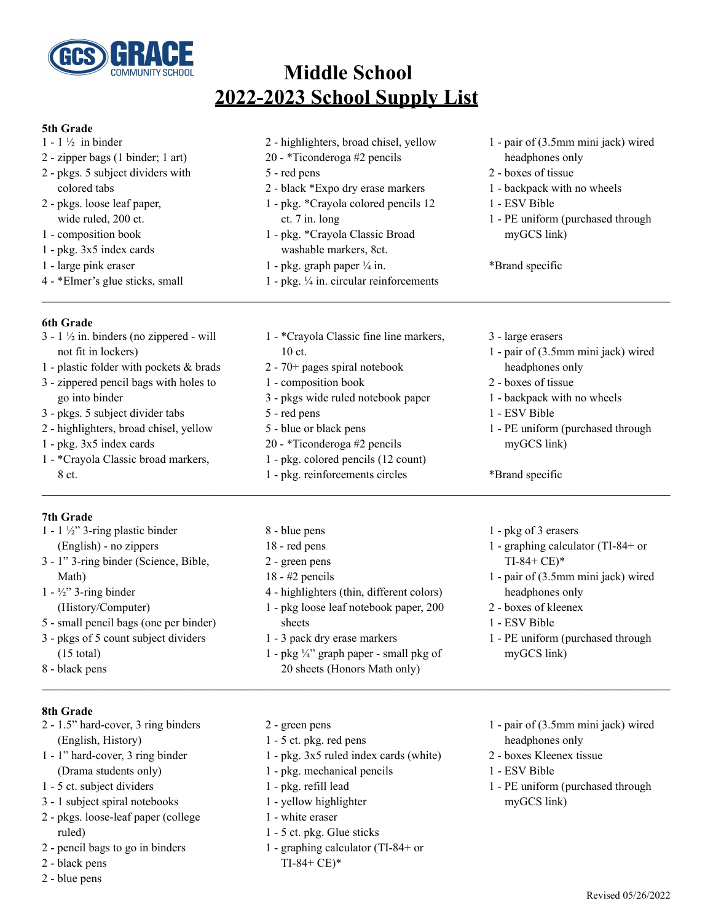

# **Middle School 2022-2023 School Supply List**

#### **5th Grade**

- $1 1\frac{1}{2}$  in binder
- zipper bags (1 binder; 1 art)
- pkgs. 5 subject dividers with colored tabs
- pkgs. loose leaf paper, wide ruled, 200 ct.
- composition book
- pkg. 3x5 index cards
- large pink eraser
- \*Elmer's glue sticks, small

### **6th Grade**

- $3 1 \frac{1}{2}$  in. binders (no zippered will not fit in lockers)
- plastic folder with pockets & brads
- zippered pencil bags with holes to go into binder
- pkgs. 5 subject divider tabs
- highlighters, broad chisel, yellow
- pkg. 3x5 index cards
- \*Crayola Classic broad markers, ct.

## **7th Grade**

- 1 1  $\frac{1}{2}$ " 3-ring plastic binder (English) - no zippers - 1" 3-ring binder (Science, Bible, Math)  $1 - \frac{1}{2}$  3-ring binder (History/Computer)
- small pencil bags (one per binder)
- pkgs of 5 count subject dividers (15 total)
- black pens
- highlighters, broad chisel, yellow
- \*Ticonderoga #2 pencils
- red pens

ct.

- black \*Expo dry erase markers
- pkg. \*Crayola colored pencils 12 ct. 7 in. long
- pkg. \*Crayola Classic Broad washable markers, 8ct.
- 1 pkg. graph paper  $\frac{1}{4}$  in.
- pkg. ¼ in. circular reinforcements

- \*Crayola Classic fine line markers,

- pair of (3.5mm mini jack) wired headphones only
- boxes of tissue
- backpack with no wheels
- ESV Bible
- PE uniform (purchased through myGCS link)

\*Brand specific

- large erasers
- pair of (3.5mm mini jack) wired headphones only
- boxes of tissue
- backpack with no wheels
- ESV Bible
- PE uniform (purchased through myGCS link)

### \*Brand specific

- blue pens
- red pens
- 
- highlighters (thin, different colors) - pkg loose leaf notebook paper, 200
- 3 pack dry erase markers
- 1 pkg  $\frac{1}{4}$ " graph paper small pkg of sheets (Honors Math only) **\_\_\_\_\_\_\_\_\_\_\_\_\_\_\_\_\_\_\_\_\_\_\_\_\_\_\_\_\_\_\_\_\_\_\_\_\_\_\_\_\_\_\_\_\_\_\_\_\_\_\_\_\_\_\_\_\_\_\_\_\_\_\_\_\_\_\_\_\_\_\_\_\_\_\_\_\_\_\_\_\_\_\_\_\_\_\_\_\_\_\_\_\_\_\_\_\_\_\_\_\_\_\_\_\_\_\_\_**
- graphing calculator (TI-84+ or
	- TI-84+ CE)\*

- pkg of 3 erasers

- pair of (3.5mm mini jack) wired headphones only
- boxes of kleenex
- ESV Bible
- PE uniform (purchased through myGCS link)

- **8th Grade**
- 1.5" hard-cover, 3 ring binders (English, History)
- 1" hard-cover, 3 ring binder (Drama students only)
- 5 ct. subject dividers
- 1 subject spiral notebooks
- pkgs. loose-leaf paper (college ruled)
- pencil bags to go in binders
- black pens
- blue pens
- 
- 
- 
- 
- 
- yellow highlighter
- white eraser
- 5 ct. pkg. Glue sticks
- graphing calculator (TI-84+ or TI-84+ CE)\*
- pair of (3.5mm mini jack) wired headphones only
- boxes Kleenex tissue
- ESV Bible
- PE uniform (purchased through myGCS link)

 - red pens - blue or black pens - \*Ticonderoga #2 pencils

- composition book

- 70+ pages spiral notebook

- pkg. colored pencils (12 count)

- pkgs wide ruled notebook paper

- pkg. reinforcements circles **\_\_\_\_\_\_\_\_\_\_\_\_\_\_\_\_\_\_\_\_\_\_\_\_\_\_\_\_\_\_\_\_\_\_\_\_\_\_\_\_\_\_\_\_\_\_\_\_\_\_\_\_\_\_\_\_\_\_\_\_\_\_\_\_\_\_\_\_\_\_\_\_\_\_\_\_\_\_\_\_\_\_\_\_\_\_\_\_\_\_\_\_\_\_\_\_\_\_\_\_\_\_\_\_\_\_\_\_**
	-
	-
	-
	- green pens - #2 pencils
		- - sheets
				-
				-
				-
			- green pens
			- 5 ct. pkg. red pens
			- pkg. 3x5 ruled index cards (white)
			- pkg. mechanical pencils
			- pkg. refill lead